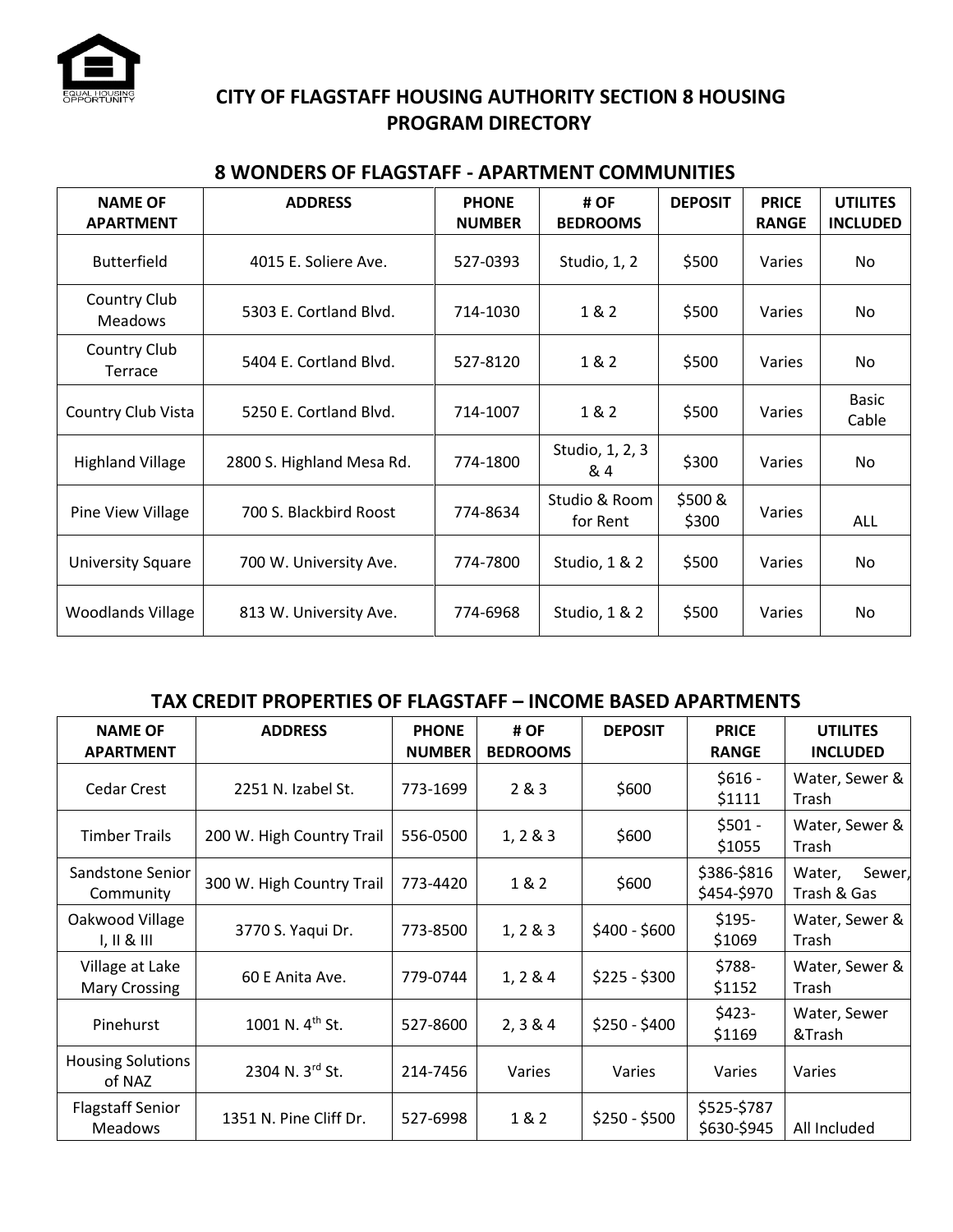

# **CITY OF FLAGSTAFF HOUSING AUTHORITY SECTION 8 HOUSING PROGRAM DIRECTORY**

| <b>NAME OF</b><br><b>APARTMENT</b> | <b>ADDRESS</b>            | <b>PHONE</b><br><b>NUMBER</b> | # OF<br><b>BEDROOMS</b>   | <b>DEPOSIT</b>   | <b>PRICE</b><br><b>RANGE</b> | <b>UTILITES</b><br><b>INCLUDED</b> |
|------------------------------------|---------------------------|-------------------------------|---------------------------|------------------|------------------------------|------------------------------------|
| <b>Butterfield</b>                 | 4015 E. Soliere Ave.      | 527-0393                      | Studio, 1, 2              | \$500            | Varies                       | No.                                |
| Country Club<br><b>Meadows</b>     | 5303 E. Cortland Blvd.    | 714-1030                      | 1 & 2                     | \$500            | Varies                       | No                                 |
| Country Club<br>Terrace            | 5404 E. Cortland Blvd.    | 527-8120                      | 1&2                       | \$500            | Varies                       | No                                 |
| Country Club Vista                 | 5250 E. Cortland Blvd.    | 714-1007                      | 1&2                       | \$500            | Varies                       | <b>Basic</b><br>Cable              |
| <b>Highland Village</b>            | 2800 S. Highland Mesa Rd. | 774-1800                      | Studio, 1, 2, 3<br>& 4    | \$300            | Varies                       | No                                 |
| Pine View Village                  | 700 S. Blackbird Roost    | 774-8634                      | Studio & Room<br>for Rent | \$500 &<br>\$300 | Varies                       | ALL                                |
| <b>University Square</b>           | 700 W. University Ave.    | 774-7800                      | Studio, 1 & 2             | \$500            | Varies                       | No                                 |
| <b>Woodlands Village</b>           | 813 W. University Ave.    | 774-6968                      | Studio, 1 & 2             | \$500            | Varies                       | No.                                |

#### **8 WONDERS OF FLAGSTAFF - APARTMENT COMMUNITIES**

## **TAX CREDIT PROPERTIES OF FLAGSTAFF – INCOME BASED APARTMENTS**

| <b>NAME OF</b><br><b>APARTMENT</b>        | <b>ADDRESS</b>              | <b>PHONE</b><br><b>NUMBER</b> | # OF<br><b>BEDROOMS</b> | <b>DEPOSIT</b> | <b>PRICE</b><br><b>RANGE</b> | <b>UTILITES</b><br><b>INCLUDED</b> |
|-------------------------------------------|-----------------------------|-------------------------------|-------------------------|----------------|------------------------------|------------------------------------|
| <b>Cedar Crest</b>                        | 2251 N. Izabel St.          | 773-1699                      | 2 & 3                   | \$600          | $$616 -$<br>\$1111           | Water, Sewer &<br>Trash            |
| <b>Timber Trails</b>                      | 200 W. High Country Trail   | 556-0500                      | 1, 2 & 8 & 3            | \$600          | $$501 -$<br>\$1055           | Water, Sewer &<br>Trash            |
| Sandstone Senior<br>Community             | 300 W. High Country Trail   | 773-4420                      | 1&2                     | \$600          | \$386-\$816<br>\$454-\$970   | Sewer,<br>Water,<br>Trash & Gas    |
| Oakwood Village<br>1, 11 & 111            | 3770 S. Yaqui Dr.           | 773-8500                      | 1, 2 & 8 & 3            | $$400 - $600$  | $$195-$<br>\$1069            | Water, Sewer &<br>Trash            |
| Village at Lake<br><b>Mary Crossing</b>   | 60 E Anita Ave.             | 779-0744                      | 1, 2 & 4                | $$225 - $300$  | \$788-<br>\$1152             | Water, Sewer &<br>Trash            |
| Pinehurst                                 | 1001 N. 4 <sup>th</sup> St. | 527-8600                      | 2, 3 & 4                | $$250 - $400$  | $$423-$<br>\$1169            | Water, Sewer<br>&Trash             |
| <b>Housing Solutions</b><br>of NAZ        | 2304 N. 3rd St.             | 214-7456                      | Varies                  | <b>Varies</b>  | Varies                       | Varies                             |
| <b>Flagstaff Senior</b><br><b>Meadows</b> | 1351 N. Pine Cliff Dr.      | 527-6998                      | 1 & 2                   | $$250 - $500$  | \$525-\$787<br>\$630-\$945   | All Included                       |